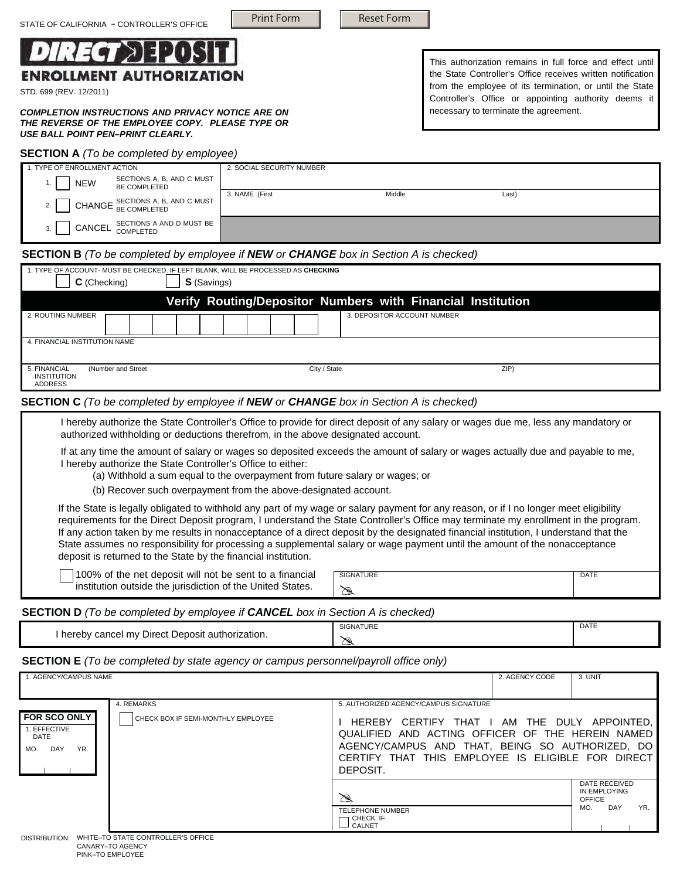

STD. 699 (REV. 12/2011)

*COMPLETION INSTRUCTIONS AND PRIVACY NOTICE ARE ON THE REVERSE OF THE EMPLOYEE COPY. PLEASE TYPE OR USE BALL POINT PEN–PRINT CLEARLY.*

# **SECTION A** *(To be completed by employee)*

This authorization remains in full force and effect until the State Controller's Office receives written notification from the employee of its termination, or until the State Controller's Office or appointing authority deems it necessary to terminate the agreement.

| <b>SECTION A</b> ( <i>TO be completed by employee)</i> |                           |       |  |  |
|--------------------------------------------------------|---------------------------|-------|--|--|
| 1. TYPE OF ENROLLMENT ACTION                           | 2. SOCIAL SECURITY NUMBER |       |  |  |
| SECTIONS A, B, AND C MUST<br>NEW<br>BE COMPLETED       |                           |       |  |  |
| CHANGE SECTIONS A, B, AND C MUST                       | 3. NAME (First<br>Middle  | Last) |  |  |
| SECTIONS A AND D MUST BE<br>CANCEL<br>3.<br>COMPLETED  |                           |       |  |  |

#### **SECTION B** *(To be completed by employee if NEW or CHANGE box in Section A is checked)*

| 1. TYPE OF ACCOUNT- MUST BE CHECKED. IF LEFT BLANK, WILL BE PROCESSED AS CHECKING<br>C (Checking)<br><b>S</b> (Savings) |              |                                                             |  |  |
|-------------------------------------------------------------------------------------------------------------------------|--------------|-------------------------------------------------------------|--|--|
|                                                                                                                         |              | Verify Routing/Depositor Numbers with Financial Institution |  |  |
| 2. ROUTING NUMBER                                                                                                       |              | 3. DEPOSITOR ACCOUNT NUMBER                                 |  |  |
| 4. FINANCIAL INSTITUTION NAME                                                                                           |              |                                                             |  |  |
| (Number and Street)<br>5. FINANCIAL<br>INSTITUTION<br><b>ADDRESS</b>                                                    | City / State | ZIP                                                         |  |  |

## **SECTION C** *(To be completed by employee if NEW or CHANGE box in Section A is checked)*

I hereby authorize the State Controller's Office to provide for direct deposit of any salary or wages due me, less any mandatory or authorized withholding or deductions therefrom, in the above designated account.

 If at any time the amount of salary or wages so deposited exceeds the amount of salary or wages actually due and payable to me, I hereby authorize the State Controller's Office to either:

(a) Withhold a sum equal to the overpayment from future salary or wages; or

(b) Recover such overpayment from the above-designated account.

If the State is legally obligated to withhold any part of my wage or salary payment for any reason, or if I no longer meet eligibility requirements for the Direct Deposit program, I understand the State Controller's Office may terminate my enrollment in the program. If any action taken by me results in nonacceptance of a direct deposit by the designated financial institution, I understand that the State assumes no responsibility for processing a supplemental salary or wage payment until the amount of the nonacceptance deposit is returned to the State by the financial institution.

100% of the net deposit will not be sent to a financial institution outside the jurisdiction of the United States.

| <b>SIGNATURE</b> | TЕ |
|------------------|----|
|                  |    |
|                  |    |

## **SECTION D** *(To be completed by employee if CANCEL box in Section A is checked)*

|                                                             | <b>SIGNATURE</b> | DATE |
|-------------------------------------------------------------|------------------|------|
| Direct I<br>hereby cancel<br>mv<br>t Deposit authorization. | ∼<br>سيا         |      |

# **SECTION E** *(To be completed by state agency or campus personnel/payroll office only)*

| 4. REMARKS<br><b>FOR SCO ONLY!</b><br><b>CHECK BOX IF SEMI-MONTHLY EMPLOYEE</b><br>1. EFFECTIVE<br>DATE<br>DAY<br>YR.<br>MO. | 5. AUTHORIZED AGENCY/CAMPUS SIGNATURE<br>HEREBY CERTIFY THAT I AM THE DULY APPOINTED.<br>QUALIFIED AND ACTING OFFICER OF THE HEREIN NAMED<br>AGENCY/CAMPUS AND THAT, BEING SO AUTHORIZED, DO<br>CERTIFY THAT THIS EMPLOYEE IS ELIGIBLE FOR DIRECT<br>DEPOSIT. |  |                                                                     |
|------------------------------------------------------------------------------------------------------------------------------|---------------------------------------------------------------------------------------------------------------------------------------------------------------------------------------------------------------------------------------------------------------|--|---------------------------------------------------------------------|
| DISTRIBLITION: WHITE_TO STATE CONTROLLER'S OFFICE                                                                            | ☎<br><b>TELEPHONE NUMBER</b><br>CHECK IF<br>CALNET                                                                                                                                                                                                            |  | DATE RECEIVED<br>IN EMPLOYING<br><b>OFFICE</b><br>DAY<br>YR.<br>MO. |